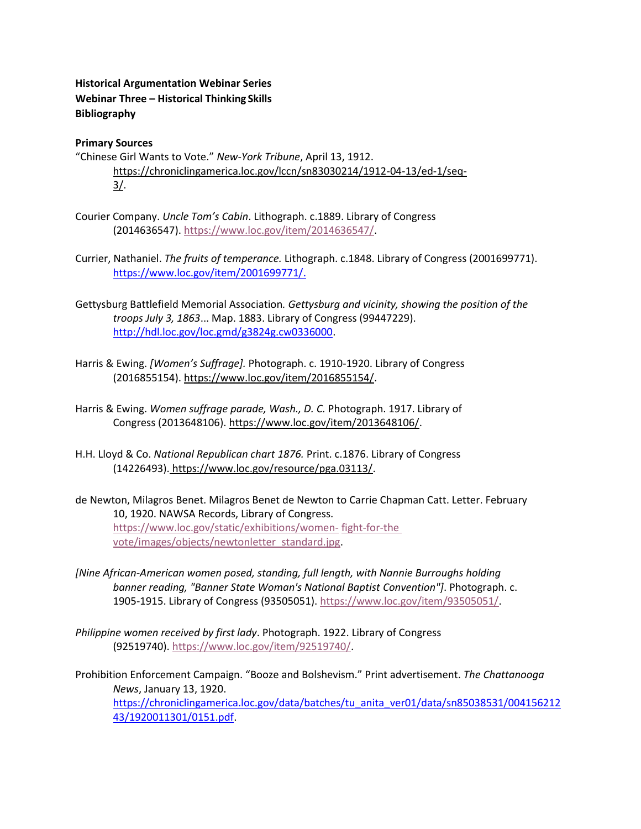## **Historical Argumentation Webinar Series Webinar Three – Historical Thinking Skills Bibliography**

## **Primary Sources**

- "Chinese Girl Wants to Vote." *New-York Tribune*, April 13, 1912. [https://chroniclingamerica.loc.gov/lccn/sn83030214/1912-04-13/ed-1/seq-](https://chroniclingamerica.loc.gov/lccn/sn83030214/1912-04-13/ed-1/seq-3/)[3/.](https://chroniclingamerica.loc.gov/lccn/sn83030214/1912-04-13/ed-1/seq-3/)
- Courier Company. *Uncle Tom's Cabin*. Lithograph. c.1889. Library of Congress (2014636547). [https://www.loc.gov/item/2014636547/.](https://www.loc.gov/item/2014636547/)
- Currier, Nathaniel. *The fruits of temperance.* Lithograph. c.1848. Library of Congress (2001699771). [https://www.loc.gov/item/2001699771/.](about:blank)
- Gettysburg Battlefield Memorial Association*. Gettysburg and vicinity, showing the position of the troops July 3, 1863*... Map. 1883. Library of Congress (99447229). [http://hdl.loc.gov/loc.gmd/g3824g.cw0336000.](http://hdl.loc.gov/loc.gmd/g3824g.cw0336000)
- Harris & Ewing. *[Women's Suffrage].* Photograph. c. 1910-1920. Library of Congress (2016855154)[. https://www.loc.gov/item/2016855154/.](https://www.loc.gov/item/2016855154/)
- Harris & Ewing. *Women suffrage parade, Wash., D. C.* Photograph. 1917. Library of Congress (2013648106)[. https://www.loc.gov/item/2013648106/.](https://www.loc.gov/item/2013648106/)
- H.H. Lloyd & Co. *National Republican chart 1876.* Print. c.1876. Library of Congress (14226493). [https://www.loc.gov/resource/pga.03113/.](https://www.loc.gov/resource/pga.03113/)
- de Newton, Milagros Benet. Milagros Benet de Newton to Carrie Chapman Catt. Letter. February 10, 1920. NAWSA Records, Library of Congress. [https://www.loc.gov/static/exhibitions/women-](https://www.loc.gov/static/exhibitions/women-fight-for-the-vote/images/objects/newtonletter_standard.jpg) [fight-for-the](https://www.loc.gov/static/exhibitions/women-fight-for-the-vote/images/objects/newtonletter_standard.jpg)  [vote/images/objects/newtonletter\\_standard.jpg.](https://www.loc.gov/static/exhibitions/women-fight-for-the-vote/images/objects/newtonletter_standard.jpg)
- *[Nine African-American women posed, standing, full length, with Nannie Burroughs holding banner reading, "Banner State Woman's National Baptist Convention"]*. Photograph. c. 1905-1915. Library of Congress (93505051). [https://www.loc.gov/item/93505051/.](https://www.loc.gov/item/93505051/)
- *Philippine women received by first lady*. Photograph. 1922. Library of Congress (92519740)[. https://www.loc.gov/item/92519740/.](https://www.loc.gov/item/92519740/)

Prohibition Enforcement Campaign. "Booze and Bolshevism." Print advertisement. *The Chattanooga News*, January 13, 1920. [https://chroniclingamerica.loc.gov/data/batches/tu\\_anita\\_ver01/data/sn85038531/004156212](about:blank) [43/1920011301/0151.pdf.](about:blank)